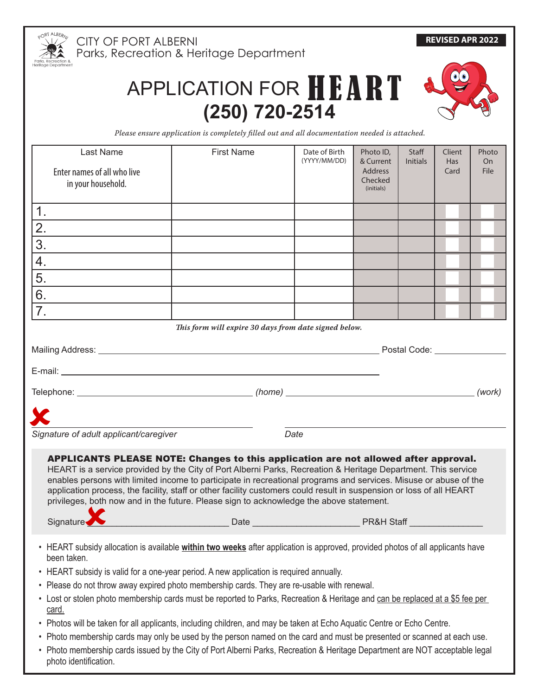

CITY OF PORT ALBERNI Parks, Recreation & Heritage Department

## APPLICATION FOR HEART **(250) 720-2514**



*Please ensure application is completely filled out and all documentation needed is attached.*

| Last Name                                                                                                                              | <b>First Name</b>                                                                                                                                                                                               | Date of Birth<br>(YYYY/MM/DD) | Photo ID,<br>& Current | Staff<br><b>Initials</b> | Client<br><b>Has</b> | Photo<br><b>On</b> |  |
|----------------------------------------------------------------------------------------------------------------------------------------|-----------------------------------------------------------------------------------------------------------------------------------------------------------------------------------------------------------------|-------------------------------|------------------------|--------------------------|----------------------|--------------------|--|
| Enter names of all who live                                                                                                            |                                                                                                                                                                                                                 |                               | <b>Address</b>         |                          | Card                 | <b>File</b>        |  |
| in your household.                                                                                                                     |                                                                                                                                                                                                                 |                               | Checked<br>(initials)  |                          |                      |                    |  |
|                                                                                                                                        |                                                                                                                                                                                                                 |                               |                        |                          |                      |                    |  |
| 1.                                                                                                                                     |                                                                                                                                                                                                                 |                               |                        |                          |                      |                    |  |
| 2.                                                                                                                                     |                                                                                                                                                                                                                 |                               |                        |                          |                      |                    |  |
| 3.                                                                                                                                     |                                                                                                                                                                                                                 |                               |                        |                          |                      |                    |  |
| 4.                                                                                                                                     |                                                                                                                                                                                                                 |                               |                        |                          |                      |                    |  |
| 5.                                                                                                                                     |                                                                                                                                                                                                                 |                               |                        |                          |                      |                    |  |
| 6.                                                                                                                                     |                                                                                                                                                                                                                 |                               |                        |                          |                      |                    |  |
| 7.                                                                                                                                     |                                                                                                                                                                                                                 |                               |                        |                          |                      |                    |  |
|                                                                                                                                        | This form will expire 30 days from date signed below.                                                                                                                                                           |                               |                        |                          |                      |                    |  |
|                                                                                                                                        |                                                                                                                                                                                                                 |                               |                        |                          |                      |                    |  |
|                                                                                                                                        |                                                                                                                                                                                                                 |                               |                        |                          |                      |                    |  |
|                                                                                                                                        |                                                                                                                                                                                                                 |                               |                        |                          |                      |                    |  |
|                                                                                                                                        |                                                                                                                                                                                                                 |                               |                        |                          |                      |                    |  |
|                                                                                                                                        |                                                                                                                                                                                                                 |                               |                        |                          |                      |                    |  |
|                                                                                                                                        |                                                                                                                                                                                                                 |                               |                        |                          |                      |                    |  |
| Signature of adult applicant/caregiver                                                                                                 |                                                                                                                                                                                                                 | Date                          |                        |                          |                      |                    |  |
|                                                                                                                                        | <b>APPLICANTS PLEASE NOTE: Changes to this application are not allowed after approval.</b>                                                                                                                      |                               |                        |                          |                      |                    |  |
|                                                                                                                                        | HEART is a service provided by the City of Port Alberni Parks, Recreation & Heritage Department. This service                                                                                                   |                               |                        |                          |                      |                    |  |
|                                                                                                                                        | enables persons with limited income to participate in recreational programs and services. Misuse or abuse of the                                                                                                |                               |                        |                          |                      |                    |  |
|                                                                                                                                        | application process, the facility, staff or other facility customers could result in suspension or loss of all HEART<br>privileges, both now and in the future. Please sign to acknowledge the above statement. |                               |                        |                          |                      |                    |  |
|                                                                                                                                        |                                                                                                                                                                                                                 |                               |                        |                          |                      |                    |  |
| Signature.                                                                                                                             |                                                                                                                                                                                                                 |                               |                        |                          |                      |                    |  |
| • HEART subsidy allocation is available within two weeks after application is approved, provided photos of all applicants have         |                                                                                                                                                                                                                 |                               |                        |                          |                      |                    |  |
| been taken.                                                                                                                            |                                                                                                                                                                                                                 |                               |                        |                          |                      |                    |  |
| • HEART subsidy is valid for a one-year period. A new application is required annually.                                                |                                                                                                                                                                                                                 |                               |                        |                          |                      |                    |  |
| • Please do not throw away expired photo membership cards. They are re-usable with renewal.                                            |                                                                                                                                                                                                                 |                               |                        |                          |                      |                    |  |
| • Lost or stolen photo membership cards must be reported to Parks, Recreation & Heritage and can be replaced at a \$5 fee per<br>card. |                                                                                                                                                                                                                 |                               |                        |                          |                      |                    |  |
| • Photos will be taken for all applicants, including children, and may be taken at Echo Aquatic Centre or Echo Centre.                 |                                                                                                                                                                                                                 |                               |                        |                          |                      |                    |  |
| • Photo membership cards may only be used by the person named on the card and must be presented or scanned at each use.                |                                                                                                                                                                                                                 |                               |                        |                          |                      |                    |  |
| Dhata mambasakin sanda isayad bu the City of Dant Albana; Darke, Despection & Haritage Department are NOT coopertable legal            |                                                                                                                                                                                                                 |                               |                        |                          |                      |                    |  |

• Photo membership cards issued by the City of Port Alberni Parks, Recreation & Heritage Department are NOT acceptable legal photo identification.